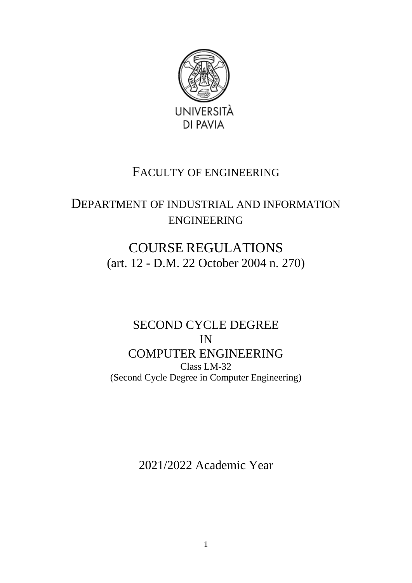

## FACULTY OF ENGINEERING

# DEPARTMENT OF INDUSTRIAL AND INFORMATION ENGINEERING

# COURSE REGULATIONS (art. 12 - D.M. 22 October 2004 n. 270)

## SECOND CYCLE DEGREE IN COMPUTER ENGINEERING Class LM-32 (Second Cycle Degree in Computer Engineering)

2021/2022 Academic Year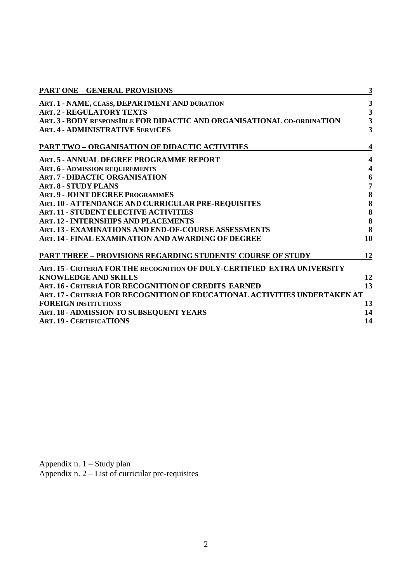| 3<br>ART. 1 - NAME, CLASS, DEPARTMENT AND DURATION<br>$\mathbf{3}$<br><b>ART. 2 - REGULATORY TEXTS</b><br>$\overline{\mathbf{3}}$<br>ART. 3 - BODY RESPONSIBLE FOR DIDACTIC AND ORGANISATIONAL CO-ORDINATION<br>$\overline{\mathbf{3}}$<br><b>ART. 4 - ADMINISTRATIVE SERVICES</b><br><b>PART TWO - ORGANISATION OF DIDACTIC ACTIVITIES</b><br>4<br>ART. 5 - ANNUAL DEGREE PROGRAMME REPORT<br>$\overline{\mathbf{4}}$<br>$\overline{\mathbf{4}}$<br><b>ART. 6 - ADMISSION REQUIREMENTS</b><br><b>ART. 7 - DIDACTIC ORGANISATION</b><br>6<br>7<br><b>ART. 8 - STUDY PLANS</b><br>8<br><b>ART. 9 - JOINT DEGREE PROGRAMMES</b><br>8<br>ART. 10 - ATTENDANCE AND CURRICULAR PRE-REQUISITES<br>8<br><b>ART. 11 - STUDENT ELECTIVE ACTIVITIES</b><br>8<br><b>ART. 12 - INTERNSHIPS AND PLACEMENTS</b><br>8<br><b>ART. 13 - EXAMINATIONS AND END-OF-COURSE ASSESSMENTS</b> |
|-----------------------------------------------------------------------------------------------------------------------------------------------------------------------------------------------------------------------------------------------------------------------------------------------------------------------------------------------------------------------------------------------------------------------------------------------------------------------------------------------------------------------------------------------------------------------------------------------------------------------------------------------------------------------------------------------------------------------------------------------------------------------------------------------------------------------------------------------------------------------|
|                                                                                                                                                                                                                                                                                                                                                                                                                                                                                                                                                                                                                                                                                                                                                                                                                                                                       |
|                                                                                                                                                                                                                                                                                                                                                                                                                                                                                                                                                                                                                                                                                                                                                                                                                                                                       |
|                                                                                                                                                                                                                                                                                                                                                                                                                                                                                                                                                                                                                                                                                                                                                                                                                                                                       |
|                                                                                                                                                                                                                                                                                                                                                                                                                                                                                                                                                                                                                                                                                                                                                                                                                                                                       |
|                                                                                                                                                                                                                                                                                                                                                                                                                                                                                                                                                                                                                                                                                                                                                                                                                                                                       |
|                                                                                                                                                                                                                                                                                                                                                                                                                                                                                                                                                                                                                                                                                                                                                                                                                                                                       |
|                                                                                                                                                                                                                                                                                                                                                                                                                                                                                                                                                                                                                                                                                                                                                                                                                                                                       |
|                                                                                                                                                                                                                                                                                                                                                                                                                                                                                                                                                                                                                                                                                                                                                                                                                                                                       |
|                                                                                                                                                                                                                                                                                                                                                                                                                                                                                                                                                                                                                                                                                                                                                                                                                                                                       |
|                                                                                                                                                                                                                                                                                                                                                                                                                                                                                                                                                                                                                                                                                                                                                                                                                                                                       |
|                                                                                                                                                                                                                                                                                                                                                                                                                                                                                                                                                                                                                                                                                                                                                                                                                                                                       |
|                                                                                                                                                                                                                                                                                                                                                                                                                                                                                                                                                                                                                                                                                                                                                                                                                                                                       |
|                                                                                                                                                                                                                                                                                                                                                                                                                                                                                                                                                                                                                                                                                                                                                                                                                                                                       |
|                                                                                                                                                                                                                                                                                                                                                                                                                                                                                                                                                                                                                                                                                                                                                                                                                                                                       |
| 10<br>ART. 14 - FINAL EXAMINATION AND AWARDING OF DEGREE                                                                                                                                                                                                                                                                                                                                                                                                                                                                                                                                                                                                                                                                                                                                                                                                              |
| <b>PART THREE - PROVISIONS REGARDING STUDENTS' COURSE OF STUDY</b><br>12                                                                                                                                                                                                                                                                                                                                                                                                                                                                                                                                                                                                                                                                                                                                                                                              |
| ART. 15 - CRITERIA FOR THE RECOGNITION OF DULY-CERTIFIED EXTRA UNIVERSITY                                                                                                                                                                                                                                                                                                                                                                                                                                                                                                                                                                                                                                                                                                                                                                                             |
| 12<br><b>KNOWLEDGE AND SKILLS</b>                                                                                                                                                                                                                                                                                                                                                                                                                                                                                                                                                                                                                                                                                                                                                                                                                                     |
| ART. 16 - CRITERIA FOR RECOGNITION OF CREDITS EARNED<br>13                                                                                                                                                                                                                                                                                                                                                                                                                                                                                                                                                                                                                                                                                                                                                                                                            |
| ART. 17 - CRITERIA FOR RECOGNITION OF EDUCATIONAL ACTIVITIES UNDERTAKEN AT                                                                                                                                                                                                                                                                                                                                                                                                                                                                                                                                                                                                                                                                                                                                                                                            |
| <b>FOREIGN INSTITUTIONS</b><br>13                                                                                                                                                                                                                                                                                                                                                                                                                                                                                                                                                                                                                                                                                                                                                                                                                                     |
| ART. 18 - ADMISSION TO SUBSEQUENT YEARS<br>14                                                                                                                                                                                                                                                                                                                                                                                                                                                                                                                                                                                                                                                                                                                                                                                                                         |
| 14<br><b>ART. 19 - CERTIFICATIONS</b>                                                                                                                                                                                                                                                                                                                                                                                                                                                                                                                                                                                                                                                                                                                                                                                                                                 |

Appendix n. 1 – Study plan Appendix n. 2 – List of curricular pre-requisites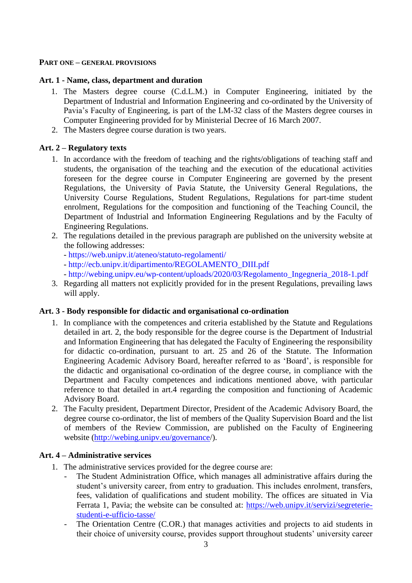#### **PART ONE – GENERAL PROVISIONS**

#### **Art. 1 - Name, class, department and duration**

- 1. The Masters degree course (C.d.L.M.) in Computer Engineering, initiated by the Department of Industrial and Information Engineering and co-ordinated by the University of Pavia's Faculty of Engineering, is part of the LM-32 class of the Masters degree courses in Computer Engineering provided for by Ministerial Decree of 16 March 2007.
- 2. The Masters degree course duration is two years.

#### **Art. 2 – Regulatory texts**

- 1. In accordance with the freedom of teaching and the rights/obligations of teaching staff and students, the organisation of the teaching and the execution of the educational activities foreseen for the degree course in Computer Engineering are governed by the present Regulations, the University of Pavia Statute, the University General Regulations, the University Course Regulations, Student Regulations, Regulations for part-time student enrolment, Regulations for the composition and functioning of the Teaching Council, the Department of Industrial and Information Engineering Regulations and by the Faculty of Engineering Regulations.
- 2. The regulations detailed in the previous paragraph are published on the university website at the following addresses:
	- https://web.unipv.it/ateneo/statuto-regolamenti/
	- http://ecb.unipv.it/dipartimento/REGOLAMENTO\_DIII.pdf
	- http://webing.unipv.eu/wp-content/uploads/2020/03/Regolamento\_Ingegneria\_2018-1.pdf
- 3. Regarding all matters not explicitly provided for in the present Regulations, prevailing laws will apply.

#### **Art. 3 - Body responsible for didactic and organisational co-ordination**

- 1. In compliance with the competences and criteria established by the Statute and Regulations detailed in art. 2, the body responsible for the degree course is the Department of Industrial and Information Engineering that has delegated the Faculty of Engineering the responsibility for didactic co-ordination, pursuant to art. 25 and 26 of the Statute. The Information Engineering Academic Advisory Board, hereafter referred to as 'Board', is responsible for the didactic and organisational co-ordination of the degree course, in compliance with the Department and Faculty competences and indications mentioned above, with particular reference to that detailed in art.4 regarding the composition and functioning of Academic Advisory Board.
- 2. The Faculty president, Department Director, President of the Academic Advisory Board, the degree course co-ordinator, the list of members of the Quality Supervision Board and the list of members of the Review Commission, are published on the Faculty of Engineering website [\(http://webing.unipv.eu/governance/](http://webing.unipv.eu/governance/)).

#### **Art. 4 – Administrative services**

- 1. The administrative services provided for the degree course are:
	- The Student Administration Office, which manages all administrative affairs during the student's university career, from entry to graduation. This includes enrolment, transfers, fees, validation of qualifications and student mobility. The offices are situated in Via Ferrata 1, Pavia; the website can be consulted at: [https://web.unipv.it/servizi/segreterie](https://web.unipv.it/servizi/segreterie-studenti-e-ufficio-tasse/)[studenti-e-ufficio-tasse/](https://web.unipv.it/servizi/segreterie-studenti-e-ufficio-tasse/)
	- The Orientation Centre (C.OR.) that manages activities and projects to aid students in their choice of university course, provides support throughout students' university career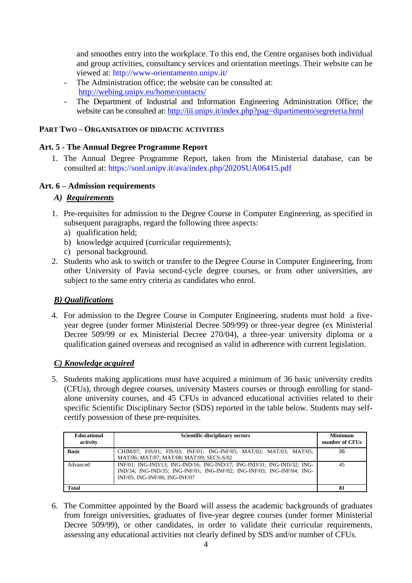and smoothes entry into the workplace. To this end, the Centre organises both individual and group activities, consultancy services and orientation meetings. Their website can be viewed at: http://www-orientamento.unipv.it/

- The Administration office; the website can be consulted at: <http://webing.unipv.eu/home/contacts/>
- The Department of Industrial and Information Engineering Administration Office; the website can be consulted at:<http://iii.unipv.it/index.php?pag=dipartimento/segreteria.html>

#### **PART TWO – ORGANISATION OF DIDACTIC ACTIVITIES**

#### **Art. 5 - The Annual Degree Programme Report**

1. The Annual Degree Programme Report, taken from the Ministerial database, can be consulted at: https://sonl.unipv.it/ava/index.php/2020SUA06415.pdf

#### **Art. 6 – Admission requirements**

#### *A) Requirements*

- 1. Pre-requisites for admission to the Degree Course in Computer Engineering, as specified in subsequent paragraphs, regard the following three aspects:
	- a) qualification held:
	- b) knowledge acquired (curricular requirements);
	- c) personal background.
- 2. Students who ask to switch or transfer to the Degree Course in Computer Engineering, from other University of Pavia second-cycle degree courses, or from other universities, are subject to the same entry criteria as candidates who enrol.

### *B) Qualifications*

4. For admission to the Degree Course in Computer Engineering, students must hold a fiveyear degree (under former Ministerial Decree 509/99) or three-year degree (ex Ministerial Decree 509/99 or ex Ministerial Decree 270/04), a three-year university diploma or a qualification gained overseas and recognised as valid in adherence with current legislation.

### *C) Knowledge acquired*

5. Students making applications must have acquired a minimum of 36 basic university credits (CFUs), through degree courses, university Masters courses or through enrolling for standalone university courses, and 45 CFUs in advanced educational activities related to their specific Scientific Disciplinary Sector (SDS) reported in the table below. Students may selfcertify possession of these pre-requisites.

| <b>Educational</b><br>activity | <b>Scientific-disciplinary sectors</b>                                                                                                                                                 | <b>Minimum</b><br>number of CFUs |
|--------------------------------|----------------------------------------------------------------------------------------------------------------------------------------------------------------------------------------|----------------------------------|
| <b>Basic</b>                   | CHIM/07; FIS/01; FIS/03; INF/01; ING-INF/05; MAT/02; MAT/03; MAT/05;<br>MAT/06; MAT/07; MAT/08; MAT/09; SECS-S/02                                                                      | 36                               |
| Advanced                       | INF/01; ING-IND/13; ING-IND/16; ING-IND/17; ING-IND/31; ING-IND/32; ING-<br>IND/34; ING-IND/35; ING-INF/01; ING-INF/02; ING-INF/03; ING-INF/04; ING-<br>INF/05: ING-INF/06: ING-INF/07 | 45                               |
| <b>Total</b>                   |                                                                                                                                                                                        | 81                               |

6. The Committee appointed by the Board will assess the academic backgrounds of graduates from foreign universities, graduates of five-year degree courses (under former Ministerial Decree 509/99), or other candidates, in order to validate their curricular requirements. assessing any educational activities not clearly defined by SDS and/or number of CFUs.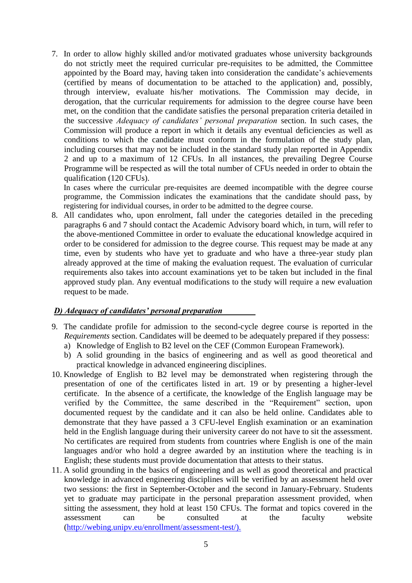7. In order to allow highly skilled and/or motivated graduates whose university backgrounds do not strictly meet the required curricular pre-requisites to be admitted, the Committee appointed by the Board may, having taken into consideration the candidate's achievements (certified by means of documentation to be attached to the application) and, possibly, through interview, evaluate his/her motivations. The Commission may decide, in derogation, that the curricular requirements for admission to the degree course have been met, on the condition that the candidate satisfies the personal preparation criteria detailed in the successive *Adequacy of candidates' personal preparation* section. In such cases, the Commission will produce a report in which it details any eventual deficiencies as well as conditions to which the candidate must conform in the formulation of the study plan, including courses that may not be included in the standard study plan reported in Appendix 2 and up to a maximum of 12 CFUs. In all instances, the prevailing Degree Course Programme will be respected as will the total number of CFUs needed in order to obtain the qualification (120 CFUs).

In cases where the curricular pre-requisites are deemed incompatible with the degree course programme, the Commission indicates the examinations that the candidate should pass, by registering for individual courses, in order to be admitted to the degree course.

8. All candidates who, upon enrolment, fall under the categories detailed in the preceding paragraphs 6 and 7 should contact the Academic Advisory board which, in turn, will refer to the above-mentioned Committee in order to evaluate the educational knowledge acquired in order to be considered for admission to the degree course. This request may be made at any time, even by students who have yet to graduate and who have a three-year study plan already approved at the time of making the evaluation request. The evaluation of curricular requirements also takes into account examinations yet to be taken but included in the final approved study plan. Any eventual modifications to the study will require a new evaluation request to be made.

#### *D) Adequacy of candidates' personal preparation*

- 9. The candidate profile for admission to the second-cycle degree course is reported in the *Requirements* section. Candidates will be deemed to be adequately prepared if they possess:
	- a) Knowledge of English to B2 level on the CEF (Common European Framework).
	- b) A solid grounding in the basics of engineering and as well as good theoretical and practical knowledge in advanced engineering disciplines.
- 10. Knowledge of English to B2 level may be demonstrated when registering through the presentation of one of the certificates listed in art. 19 or by presenting a higher-level certificate. In the absence of a certificate, the knowledge of the English language may be verified by the Committee, the same described in the "Requirement" section, upon documented request by the candidate and it can also be held online. Candidates able to demonstrate that they have passed a 3 CFU-level English examination or an examination held in the English language during their university career do not have to sit the assessment. No certificates are required from students from countries where English is one of the main languages and/or who hold a degree awarded by an institution where the teaching is in English; these students must provide documentation that attests to their status.
- 11. A solid grounding in the basics of engineering and as well as good theoretical and practical knowledge in advanced engineering disciplines will be verified by an assessment held over two sessions: the first in September-October and the second in January-February. Students yet to graduate may participate in the personal preparation assessment provided, when sitting the assessment, they hold at least 150 CFUs. The format and topics covered in the assessment can be consulted at the faculty website [\(http://webing.unipv.eu/enrollment/assessment-test/\).](http://webing.unipv.eu/enrollment/assessment-test/).)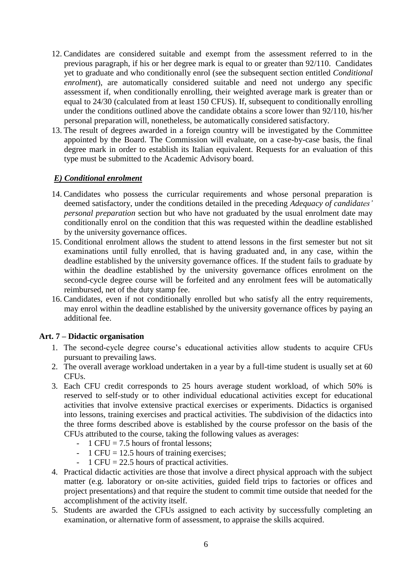- 12. Candidates are considered suitable and exempt from the assessment referred to in the previous paragraph, if his or her degree mark is equal to or greater than 92/110. Candidates yet to graduate and who conditionally enrol (see the subsequent section entitled *Conditional enrolment*), are automatically considered suitable and need not undergo any specific assessment if, when conditionally enrolling, their weighted average mark is greater than or equal to 24/30 (calculated from at least 150 CFUS). If, subsequent to conditionally enrolling under the conditions outlined above the candidate obtains a score lower than 92/110, his/her personal preparation will, nonetheless, be automatically considered satisfactory.
- 13. The result of degrees awarded in a foreign country will be investigated by the Committee appointed by the Board. The Commission will evaluate, on a case-by-case basis, the final degree mark in order to establish its Italian equivalent. Requests for an evaluation of this type must be submitted to the Academic Advisory board.

#### *E) Conditional enrolment*

- 14. Candidates who possess the curricular requirements and whose personal preparation is deemed satisfactory, under the conditions detailed in the preceding *Adequacy of candidates' personal preparation* section but who have not graduated by the usual enrolment date may conditionally enrol on the condition that this was requested within the deadline established by the university governance offices.
- 15. Conditional enrolment allows the student to attend lessons in the first semester but not sit examinations until fully enrolled, that is having graduated and, in any case, within the deadline established by the university governance offices. If the student fails to graduate by within the deadline established by the university governance offices enrolment on the second-cycle degree course will be forfeited and any enrolment fees will be automatically reimbursed, net of the duty stamp fee.
- 16. Candidates, even if not conditionally enrolled but who satisfy all the entry requirements, may enrol within the deadline established by the university governance offices by paying an additional fee.

#### **Art. 7 – Didactic organisation**

- 1. The second-cycle degree course's educational activities allow students to acquire CFUs pursuant to prevailing laws.
- 2. The overall average workload undertaken in a year by a full-time student is usually set at 60 CFUs.
- 3. Each CFU credit corresponds to 25 hours average student workload, of which 50% is reserved to self-study or to other individual educational activities except for educational activities that involve extensive practical exercises or experiments. Didactics is organised into lessons, training exercises and practical activities. The subdivision of the didactics into the three forms described above is established by the course professor on the basis of the CFUs attributed to the course, taking the following values as averages:
	- 1 CFU = 7.5 hours of frontal lessons;
	- 1 CFU = 12.5 hours of training exercises;
	- $-1$  CFU = 22.5 hours of practical activities.
- 4. Practical didactic activities are those that involve a direct physical approach with the subject matter (e.g. laboratory or on-site activities, guided field trips to factories or offices and project presentations) and that require the student to commit time outside that needed for the accomplishment of the activity itself.
- 5. Students are awarded the CFUs assigned to each activity by successfully completing an examination, or alternative form of assessment, to appraise the skills acquired.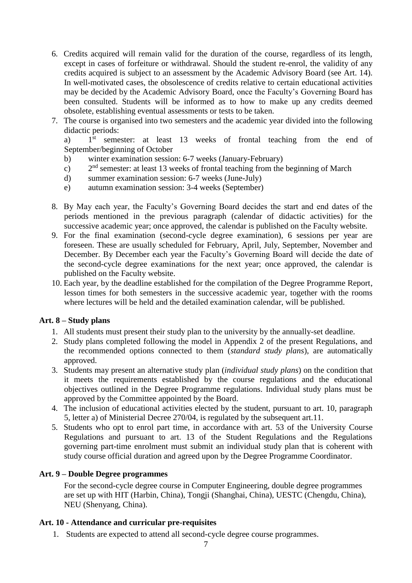- 6. Credits acquired will remain valid for the duration of the course, regardless of its length, except in cases of forfeiture or withdrawal. Should the student re-enrol, the validity of any credits acquired is subject to an assessment by the Academic Advisory Board (see Art. 14). In well-motivated cases, the obsolescence of credits relative to certain educational activities may be decided by the Academic Advisory Board, once the Faculty's Governing Board has been consulted. Students will be informed as to how to make up any credits deemed obsolete, establishing eventual assessments or tests to be taken.
- 7. The course is organised into two semesters and the academic year divided into the following didactic periods:

 $a)$ 1<sup>st</sup> semester: at least 13 weeks of frontal teaching from the end of September/beginning of October

- b) winter examination session: 6-7 weeks (January-February)
- $c)$  $2<sup>nd</sup>$  semester: at least 13 weeks of frontal teaching from the beginning of March
- d) summer examination session: 6-7 weeks (June-July)
- e) autumn examination session: 3-4 weeks (September)
- 8. By May each year, the Faculty's Governing Board decides the start and end dates of the periods mentioned in the previous paragraph (calendar of didactic activities) for the successive academic year; once approved, the calendar is published on the Faculty website.
- 9. For the final examination (second-cycle degree examination), 6 sessions per year are foreseen. These are usually scheduled for February, April, July, September, November and December. By December each year the Faculty's Governing Board will decide the date of the second-cycle degree examinations for the next year; once approved, the calendar is published on the Faculty website.
- 10. Each year, by the deadline established for the compilation of the Degree Programme Report, lesson times for both semesters in the successive academic year, together with the rooms where lectures will be held and the detailed examination calendar, will be published.

#### **Art. 8 – Study plans**

- 1. All students must present their study plan to the university by the annually-set deadline.
- 2. Study plans completed following the model in Appendix 2 of the present Regulations, and the recommended options connected to them (*standard study plans*), are automatically approved.
- 3. Students may present an alternative study plan (*individual study plans*) on the condition that it meets the requirements established by the course regulations and the educational objectives outlined in the Degree Programme regulations. Individual study plans must be approved by the Committee appointed by the Board.
- 4. The inclusion of educational activities elected by the student, pursuant to art. 10, paragraph 5, letter a) of Ministerial Decree 270/04, is regulated by the subsequent art.11.
- 5. Students who opt to enrol part time, in accordance with art. 53 of the University Course Regulations and pursuant to art. 13 of the Student Regulations and the Regulations governing part-time enrolment must submit an individual study plan that is coherent with study course official duration and agreed upon by the Degree Programme Coordinator.

#### **Art. 9 – Double Degree programmes**

For the second-cycle degree course in Computer Engineering, double degree programmes are set up with HIT (Harbin, China), Tongji (Shanghai, China), UESTC (Chengdu, China), NEU (Shenyang, China).

#### **Art. 10 - Attendance and curricular pre-requisites**

1. Students are expected to attend all second-cycle degree course programmes.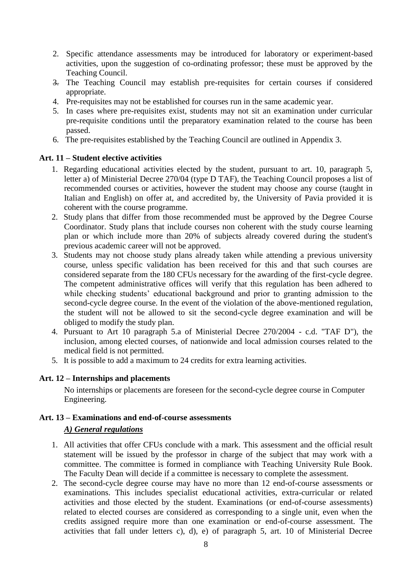- 2. Specific attendance assessments may be introduced for laboratory or experiment-based activities, upon the suggestion of co-ordinating professor; these must be approved by the Teaching Council.
- 3. The Teaching Council may establish pre-requisites for certain courses if considered appropriate.
- 4. Pre-requisites may not be established for courses run in the same academic year.
- 5. In cases where pre-requisites exist, students may not sit an examination under curricular pre-requisite conditions until the preparatory examination related to the course has been passed.
- 6. The pre-requisites established by the Teaching Council are outlined in Appendix 3.

#### **Art. 11 – Student elective activities**

- 1. Regarding educational activities elected by the student, pursuant to art. 10, paragraph 5, letter a) of Ministerial Decree 270/04 (type D TAF), the Teaching Council proposes a list of recommended courses or activities, however the student may choose any course (taught in Italian and English) on offer at, and accredited by, the University of Pavia provided it is coherent with the course programme.
- 2. Study plans that differ from those recommended must be approved by the Degree Course Coordinator. Study plans that include courses non coherent with the study course learning plan or which include more than 20% of subjects already covered during the student's previous academic career will not be approved.
- 3. Students may not choose study plans already taken while attending a previous university course, unless specific validation has been received for this and that such courses are considered separate from the 180 CFUs necessary for the awarding of the first-cycle degree. The competent administrative offices will verify that this regulation has been adhered to while checking students' educational background and prior to granting admission to the second-cycle degree course. In the event of the violation of the above-mentioned regulation, the student will not be allowed to sit the second-cycle degree examination and will be obliged to modify the study plan.
- 4. Pursuant to Art 10 paragraph 5.a of Ministerial Decree 270/2004 c.d. "TAF D"), the inclusion, among elected courses, of nationwide and local admission courses related to the medical field is not permitted.
- 5. It is possible to add a maximum to 24 credits for extra learning activities.

#### **Art. 12 – Internships and placements**

No internships or placements are foreseen for the second-cycle degree course in Computer Engineering.

## **Art. 13 – Examinations and end-of-course assessments**

#### *A) General regulations*

- 1. All activities that offer CFUs conclude with a mark. This assessment and the official result statement will be issued by the professor in charge of the subject that may work with a committee. The committee is formed in compliance with Teaching University Rule Book. The Faculty Dean will decide if a committee is necessary to complete the assessment.
- 2. The second-cycle degree course may have no more than 12 end-of-course assessments or examinations. This includes specialist educational activities, extra-curricular or related activities and those elected by the student. Examinations (or end-of-course assessments) related to elected courses are considered as corresponding to a single unit, even when the credits assigned require more than one examination or end-of-course assessment. The activities that fall under letters c), d), e) of paragraph 5, art. 10 of Ministerial Decree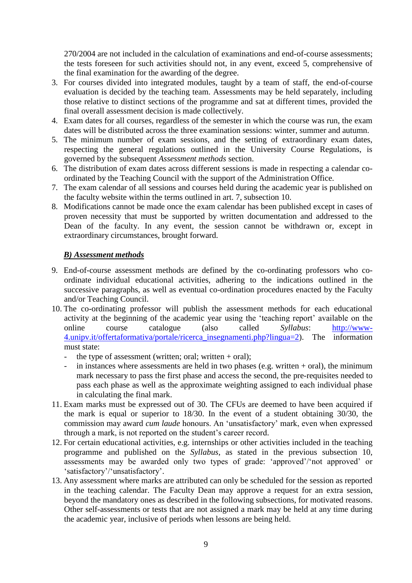270/2004 are not included in the calculation of examinations and end-of-course assessments; the tests foreseen for such activities should not, in any event, exceed 5, comprehensive of the final examination for the awarding of the degree.

- 3. For courses divided into integrated modules, taught by a team of staff, the end-of-course evaluation is decided by the teaching team. Assessments may be held separately, including those relative to distinct sections of the programme and sat at different times, provided the final overall assessment decision is made collectively.
- 4. Exam dates for all courses, regardless of the semester in which the course was run, the exam dates will be distributed across the three examination sessions: winter, summer and autumn.
- 5. The minimum number of exam sessions, and the setting of extraordinary exam dates, respecting the general regulations outlined in the University Course Regulations, is governed by the subsequent *Assessment methods* section.
- 6. The distribution of exam dates across different sessions is made in respecting a calendar coordinated by the Teaching Council with the support of the Administration Office.
- 7. The exam calendar of all sessions and courses held during the academic year is published on the faculty website within the terms outlined in art. 7, subsection 10.
- 8. Modifications cannot be made once the exam calendar has been published except in cases of proven necessity that must be supported by written documentation and addressed to the Dean of the faculty. In any event, the session cannot be withdrawn or, except in extraordinary circumstances, brought forward.

#### *B) Assessment methods*

- 9. End-of-course assessment methods are defined by the co-ordinating professors who coordinate individual educational activities, adhering to the indications outlined in the successive paragraphs, as well as eventual co-ordination procedures enacted by the Faculty and/or Teaching Council.
- 10. The co-ordinating professor will publish the assessment methods for each educational activity at the beginning of the academic year using the 'teaching report' available on the online course catalogue (also called *Syllabus*: [http://www-](http://www-4.unipv.it/offertaformativa/portale/ricerca_insegnamenti.php?lingua=2)[4.unipv.it/offertaformativa/portale/ricerca\\_insegnamenti.php?lingua=2\)](http://www-4.unipv.it/offertaformativa/portale/ricerca_insegnamenti.php?lingua=2). The information must state:
	- the type of assessment (written; oral; written  $+$  oral);
	- in instances where assessments are held in two phases (e.g. written  $+$  oral), the minimum mark necessary to pass the first phase and access the second, the pre-requisites needed to pass each phase as well as the approximate weighting assigned to each individual phase in calculating the final mark.
- 11. Exam marks must be expressed out of 30. The CFUs are deemed to have been acquired if the mark is equal or superior to 18/30. In the event of a student obtaining 30/30, the commission may award *cum laude* honours. An 'unsatisfactory' mark, even when expressed through a mark, is not reported on the student's career record.
- 12. For certain educational activities, e.g. internships or other activities included in the teaching programme and published on the *Syllabus*, as stated in the previous subsection 10, assessments may be awarded only two types of grade: 'approved'/'not approved' or 'satisfactory'/'unsatisfactory'.
- 13. Any assessment where marks are attributed can only be scheduled for the session as reported in the teaching calendar. The Faculty Dean may approve a request for an extra session, beyond the mandatory ones as described in the following subsections, for motivated reasons. Other self-assessments or tests that are not assigned a mark may be held at any time during the academic year, inclusive of periods when lessons are being held.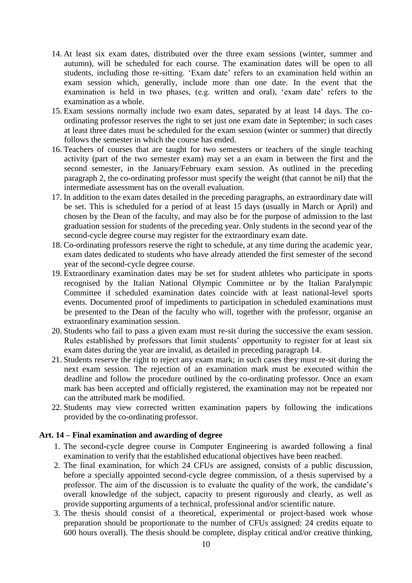- 14. At least six exam dates, distributed over the three exam sessions (winter, summer and autumn), will be scheduled for each course. The examination dates will be open to all students, including those re-sitting. 'Exam date' refers to an examination held within an exam session which, generally, include more than one date. In the event that the examination is held in two phases, (e.g. written and oral), 'exam date' refers to the examination as a whole.
- 15. Exam sessions normally include two exam dates, separated by at least 14 days. The coordinating professor reserves the right to set just one exam date in September; in such cases at least three dates must be scheduled for the exam session (winter or summer) that directly follows the semester in which the course has ended.
- 16. Teachers of courses that are taught for two semesters or teachers of the single teaching activity (part of the two semester exam) may set a an exam in between the first and the second semester, in the January/February exam session. As outlined in the preceding paragraph 2, the co-ordinating professor must specify the weight (that cannot be nil) that the intermediate assessment has on the overall evaluation.
- 17. In addition to the exam dates detailed in the preceding paragraphs, an extraordinary date will be set. This is scheduled for a period of at least 15 days (usually in March or April) and chosen by the Dean of the faculty, and may also be for the purpose of admission to the last graduation session for students of the preceding year. Only students in the second year of the second-cycle degree course may register for the extraordinary exam date.
- 18. Co-ordinating professors reserve the right to schedule, at any time during the academic year, exam dates dedicated to students who have already attended the first semester of the second year of the second-cycle degree course.
- 19. Extraordinary examination dates may be set for student athletes who participate in sports recognised by the Italian National Olympic Committee or by the Italian Paralympic Committee if scheduled examination dates coincide with at least national-level sports events. Documented proof of impediments to participation in scheduled examinations must be presented to the Dean of the faculty who will, together with the professor, organise an extraordinary examination session.
- 20. Students who fail to pass a given exam must re-sit during the successive the exam session. Rules established by professors that limit students' opportunity to register for at least six exam dates during the year are invalid, as detailed in preceding paragraph 14.
- 21. Students reserve the right to reject any exam mark; in such cases they must re-sit during the next exam session. The rejection of an examination mark must be executed within the deadline and follow the procedure outlined by the co-ordinating professor. Once an exam mark has been accepted and officially registered, the examination may not be repeated nor can the attributed mark be modified.
- 22. Students may view corrected written examination papers by following the indications provided by the co-ordinating professor.

#### **Art. 14 – Final examination and awarding of degree**

- 1. The second-cycle degree course in Computer Engineering is awarded following a final examination to verify that the established educational objectives have been reached.
- 2. The final examination, for which 24 CFUs are assigned, consists of a public discussion, before a specially appointed second-cycle degree commission, of a thesis supervised by a professor. The aim of the discussion is to evaluate the quality of the work, the candidate's overall knowledge of the subject, capacity to present rigorously and clearly, as well as provide supporting arguments of a technical, professional and/or scientific nature.
- 3. The thesis should consist of a theoretical, experimental or project-based work whose preparation should be proportionate to the number of CFUs assigned: 24 credits equate to 600 hours overall). The thesis should be complete, display critical and/or creative thinking,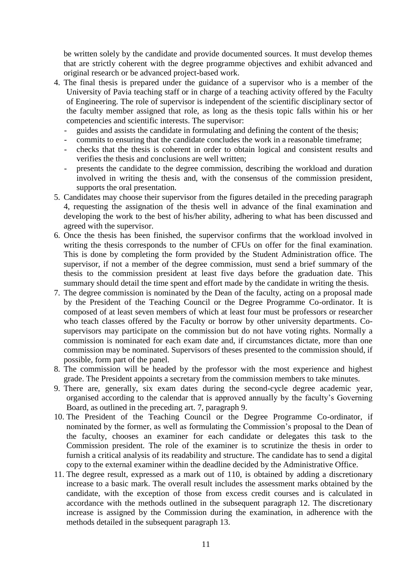be written solely by the candidate and provide documented sources. It must develop themes that are strictly coherent with the degree programme objectives and exhibit advanced and original research or be advanced project-based work.

- 4. The final thesis is prepared under the guidance of a supervisor who is a member of the University of Pavia teaching staff or in charge of a teaching activity offered by the Faculty of Engineering. The role of supervisor is independent of the scientific disciplinary sector of the faculty member assigned that role, as long as the thesis topic falls within his or her competencies and scientific interests. The supervisor:
	- guides and assists the candidate in formulating and defining the content of the thesis;
	- commits to ensuring that the candidate concludes the work in a reasonable timeframe;
	- checks that the thesis is coherent in order to obtain logical and consistent results and verifies the thesis and conclusions are well written;
	- presents the candidate to the degree commission, describing the workload and duration involved in writing the thesis and, with the consensus of the commission president, supports the oral presentation.
- 5. Candidates may choose their supervisor from the figures detailed in the preceding paragraph 4, requesting the assignation of the thesis well in advance of the final examination and developing the work to the best of his/her ability, adhering to what has been discussed and agreed with the supervisor.
- 6. Once the thesis has been finished, the supervisor confirms that the workload involved in writing the thesis corresponds to the number of CFUs on offer for the final examination. This is done by completing the form provided by the Student Administration office. The supervisor, if not a member of the degree commission, must send a brief summary of the thesis to the commission president at least five days before the graduation date. This summary should detail the time spent and effort made by the candidate in writing the thesis.
- 7. The degree commission is nominated by the Dean of the faculty, acting on a proposal made by the President of the Teaching Council or the Degree Programme Co-ordinator. It is composed of at least seven members of which at least four must be professors or researcher who teach classes offered by the Faculty or borrow by other university departments. Cosupervisors may participate on the commission but do not have voting rights. Normally a commission is nominated for each exam date and, if circumstances dictate, more than one commission may be nominated. Supervisors of theses presented to the commission should, if possible, form part of the panel.
- 8. The commission will be headed by the professor with the most experience and highest grade. The President appoints a secretary from the commission members to take minutes.
- 9. There are, generally, six exam dates during the second-cycle degree academic year, organised according to the calendar that is approved annually by the faculty's Governing Board, as outlined in the preceding art. 7, paragraph 9.
- 10. The President of the Teaching Council or the Degree Programme Co-ordinator, if nominated by the former, as well as formulating the Commission's proposal to the Dean of the faculty, chooses an examiner for each candidate or delegates this task to the Commission president. The role of the examiner is to scrutinize the thesis in order to furnish a critical analysis of its readability and structure. The candidate has to send a digital copy to the external examiner within the deadline decided by the Administrative Office.
- 11. The degree result, expressed as a mark out of 110, is obtained by adding a discretionary increase to a basic mark. The overall result includes the assessment marks obtained by the candidate, with the exception of those from excess credit courses and is calculated in accordance with the methods outlined in the subsequent paragraph 12. The discretionary increase is assigned by the Commission during the examination, in adherence with the methods detailed in the subsequent paragraph 13.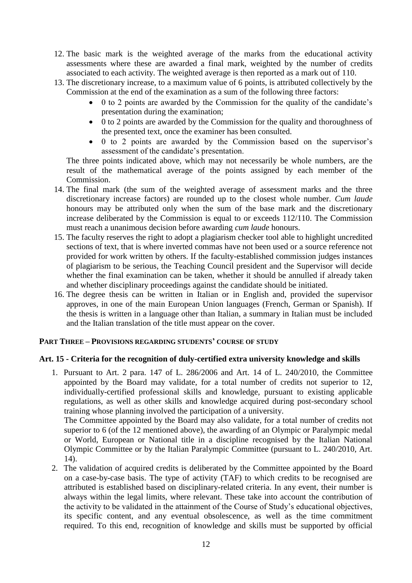- 12. The basic mark is the weighted average of the marks from the educational activity assessments where these are awarded a final mark, weighted by the number of credits associated to each activity. The weighted average is then reported as a mark out of 110.
- 13. The discretionary increase, to a maximum value of 6 points, is attributed collectively by the Commission at the end of the examination as a sum of the following three factors:
	- 0 to 2 points are awarded by the Commission for the quality of the candidate's presentation during the examination;
	- 0 to 2 points are awarded by the Commission for the quality and thoroughness of the presented text, once the examiner has been consulted.
	- 0 to 2 points are awarded by the Commission based on the supervisor's assessment of the candidate's presentation.

The three points indicated above, which may not necessarily be whole numbers, are the result of the mathematical average of the points assigned by each member of the Commission.

- 14. The final mark (the sum of the weighted average of assessment marks and the three discretionary increase factors) are rounded up to the closest whole number. *Cum laude* honours may be attributed only when the sum of the base mark and the discretionary increase deliberated by the Commission is equal to or exceeds 112/110. The Commission must reach a unanimous decision before awarding *cum laude* honours.
- 15. The faculty reserves the right to adopt a plagiarism checker tool able to highlight uncredited sections of text, that is where inverted commas have not been used or a source reference not provided for work written by others. If the faculty-established commission judges instances of plagiarism to be serious, the Teaching Council president and the Supervisor will decide whether the final examination can be taken, whether it should be annulled if already taken and whether disciplinary proceedings against the candidate should be initiated.
- 16. The degree thesis can be written in Italian or in English and, provided the supervisor approves, in one of the main European Union languages (French, German or Spanish). If the thesis is written in a language other than Italian, a summary in Italian must be included and the Italian translation of the title must appear on the cover.

#### **PART THREE – PROVISIONS REGARDING STUDENTS' COURSE OF STUDY**

#### **Art. 15 - Criteria for the recognition of duly-certified extra university knowledge and skills**

1. Pursuant to Art. 2 para. 147 of L. 286/2006 and Art. 14 of L. 240/2010, the Committee appointed by the Board may validate, for a total number of credits not superior to 12, individually-certified professional skills and knowledge, pursuant to existing applicable regulations, as well as other skills and knowledge acquired during post-secondary school training whose planning involved the participation of a university.

The Committee appointed by the Board may also validate, for a total number of credits not superior to 6 (of the 12 mentioned above), the awarding of an Olympic or Paralympic medal or World, European or National title in a discipline recognised by the Italian National Olympic Committee or by the Italian Paralympic Committee (pursuant to L. 240/2010, Art. 14).

2. The validation of acquired credits is deliberated by the Committee appointed by the Board on a case-by-case basis. The type of activity (TAF) to which credits to be recognised are attributed is established based on disciplinary-related criteria. In any event, their number is always within the legal limits, where relevant. These take into account the contribution of the activity to be validated in the attainment of the Course of Study's educational objectives, its specific content, and any eventual obsolescence, as well as the time commitment required. To this end, recognition of knowledge and skills must be supported by official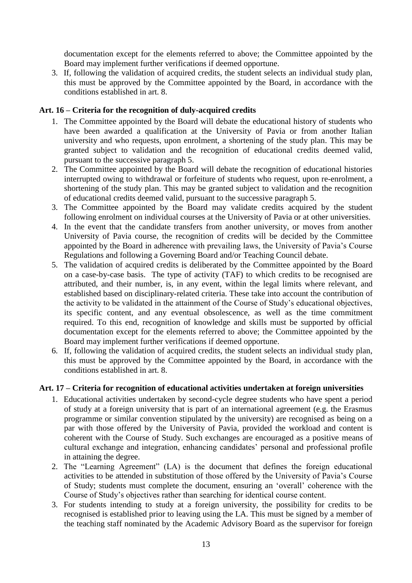documentation except for the elements referred to above; the Committee appointed by the Board may implement further verifications if deemed opportune.

3. If, following the validation of acquired credits, the student selects an individual study plan, this must be approved by the Committee appointed by the Board, in accordance with the conditions established in art. 8.

#### **Art. 16 – Criteria for the recognition of duly-acquired credits**

- 1. The Committee appointed by the Board will debate the educational history of students who have been awarded a qualification at the University of Pavia or from another Italian university and who requests, upon enrolment, a shortening of the study plan. This may be granted subject to validation and the recognition of educational credits deemed valid, pursuant to the successive paragraph 5.
- 2. The Committee appointed by the Board will debate the recognition of educational histories interrupted owing to withdrawal or forfeiture of students who request, upon re-enrolment, a shortening of the study plan. This may be granted subject to validation and the recognition of educational credits deemed valid, pursuant to the successive paragraph 5.
- 3. The Committee appointed by the Board may validate credits acquired by the student following enrolment on individual courses at the University of Pavia or at other universities.
- 4. In the event that the candidate transfers from another university, or moves from another University of Pavia course, the recognition of credits will be decided by the Committee appointed by the Board in adherence with prevailing laws, the University of Pavia's Course Regulations and following a Governing Board and/or Teaching Council debate.
- 5. The validation of acquired credits is deliberated by the Committee appointed by the Board on a case-by-case basis. The type of activity (TAF) to which credits to be recognised are attributed, and their number, is, in any event, within the legal limits where relevant, and established based on disciplinary-related criteria. These take into account the contribution of the activity to be validated in the attainment of the Course of Study's educational objectives, its specific content, and any eventual obsolescence, as well as the time commitment required. To this end, recognition of knowledge and skills must be supported by official documentation except for the elements referred to above; the Committee appointed by the Board may implement further verifications if deemed opportune.
- 6. If, following the validation of acquired credits, the student selects an individual study plan, this must be approved by the Committee appointed by the Board, in accordance with the conditions established in art. 8.

#### **Art. 17 – Criteria for recognition of educational activities undertaken at foreign universities**

- 1. Educational activities undertaken by second-cycle degree students who have spent a period of study at a foreign university that is part of an international agreement (e.g. the Erasmus programme or similar convention stipulated by the university) are recognised as being on a par with those offered by the University of Pavia, provided the workload and content is coherent with the Course of Study. Such exchanges are encouraged as a positive means of cultural exchange and integration, enhancing candidates' personal and professional profile in attaining the degree.
- 2. The "Learning Agreement" (LA) is the document that defines the foreign educational activities to be attended in substitution of those offered by the University of Pavia's Course of Study; students must complete the document, ensuring an 'overall' coherence with the Course of Study's objectives rather than searching for identical course content.
- 3. For students intending to study at a foreign university, the possibility for credits to be recognised is established prior to leaving using the LA. This must be signed by a member of the teaching staff nominated by the Academic Advisory Board as the supervisor for foreign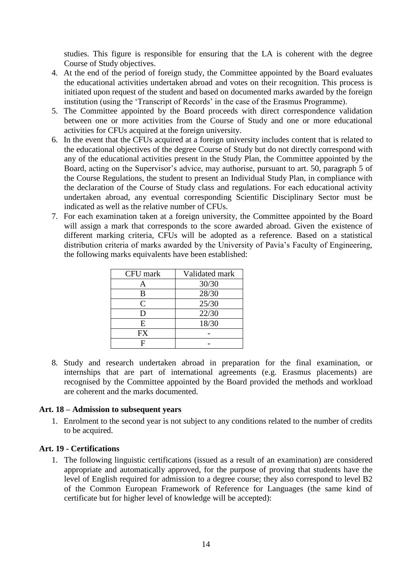studies. This figure is responsible for ensuring that the LA is coherent with the degree Course of Study objectives.

- 4. At the end of the period of foreign study, the Committee appointed by the Board evaluates the educational activities undertaken abroad and votes on their recognition. This process is initiated upon request of the student and based on documented marks awarded by the foreign institution (using the 'Transcript of Records' in the case of the Erasmus Programme).
- 5. The Committee appointed by the Board proceeds with direct correspondence validation between one or more activities from the Course of Study and one or more educational activities for CFUs acquired at the foreign university.
- 6. In the event that the CFUs acquired at a foreign university includes content that is related to the educational objectives of the degree Course of Study but do not directly correspond with any of the educational activities present in the Study Plan, the Committee appointed by the Board, acting on the Supervisor's advice, may authorise, pursuant to art. 50, paragraph 5 of the Course Regulations, the student to present an Individual Study Plan, in compliance with the declaration of the Course of Study class and regulations. For each educational activity undertaken abroad, any eventual corresponding Scientific Disciplinary Sector must be indicated as well as the relative number of CFUs.
- 7. For each examination taken at a foreign university, the Committee appointed by the Board will assign a mark that corresponds to the score awarded abroad. Given the existence of different marking criteria, CFUs will be adopted as a reference. Based on a statistical distribution criteria of marks awarded by the University of Pavia's Faculty of Engineering, the following marks equivalents have been established:

| CFU mark       | Validated mark |
|----------------|----------------|
| А              | 30/30          |
| B              | 28/30          |
| $\overline{C}$ | 25/30          |
| D              | 22/30          |
| E              | 18/30          |
| FX             |                |
| F              |                |

8. Study and research undertaken abroad in preparation for the final examination, or internships that are part of international agreements (e.g. Erasmus placements) are recognised by the Committee appointed by the Board provided the methods and workload are coherent and the marks documented.

#### **Art. 18 – Admission to subsequent years**

1. Enrolment to the second year is not subject to any conditions related to the number of credits to be acquired.

#### **Art. 19 - Certifications**

1. The following linguistic certifications (issued as a result of an examination) are considered appropriate and automatically approved, for the purpose of proving that students have the level of English required for admission to a degree course; they also correspond to level B2 of the Common European Framework of Reference for Languages (the same kind of certificate but for higher level of knowledge will be accepted):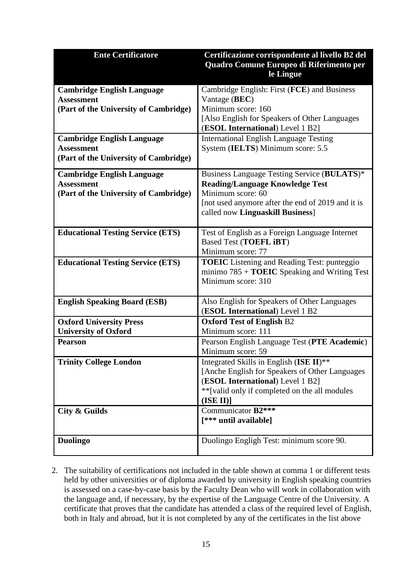| <b>Ente Certificatore</b>                              | Certificazione corrispondente al livello B2 del                                            |
|--------------------------------------------------------|--------------------------------------------------------------------------------------------|
|                                                        | Quadro Comune Europeo di Riferimento per                                                   |
|                                                        | le Lingue                                                                                  |
| <b>Cambridge English Language</b>                      | Cambridge English: First (FCE) and Business                                                |
| <b>Assessment</b>                                      | Vantage (BEC)                                                                              |
| (Part of the University of Cambridge)                  | Minimum score: 160                                                                         |
|                                                        | [Also English for Speakers of Other Languages]                                             |
|                                                        | (ESOL International) Level 1 B2]                                                           |
| <b>Cambridge English Language</b><br><b>Assessment</b> | <b>International English Language Testing</b><br>System (IELTS) Minimum score: 5.5         |
| (Part of the University of Cambridge)                  |                                                                                            |
|                                                        |                                                                                            |
| <b>Cambridge English Language</b>                      | Business Language Testing Service (BULATS)*                                                |
| <b>Assessment</b>                                      | <b>Reading/Language Knowledge Test</b><br>Minimum score: 60                                |
| (Part of the University of Cambridge)                  | [not used anymore after the end of 2019 and it is                                          |
|                                                        | called now Linguaskill Business]                                                           |
|                                                        |                                                                                            |
| <b>Educational Testing Service (ETS)</b>               | Test of English as a Foreign Language Internet                                             |
|                                                        | <b>Based Test (TOEFL iBT)</b>                                                              |
|                                                        | Minimum score: 77                                                                          |
| <b>Educational Testing Service (ETS)</b>               | <b>TOEIC</b> Listening and Reading Test: punteggio                                         |
|                                                        | minimo $785 + \textbf{TOEIC}$ Speaking and Writing Test<br>Minimum score: 310              |
|                                                        |                                                                                            |
| <b>English Speaking Board (ESB)</b>                    | Also English for Speakers of Other Languages                                               |
|                                                        | (ESOL International) Level 1 B2                                                            |
| <b>Oxford University Press</b>                         | <b>Oxford Test of English B2</b>                                                           |
| <b>University of Oxford</b>                            | Minimum score: 111                                                                         |
| <b>Pearson</b>                                         | Pearson English Language Test (PTE Academic)                                               |
|                                                        | Minimum score: 59                                                                          |
| <b>Trinity College London</b>                          | Integrated Skills in English (ISE II)**<br>[Anche English for Speakers of Other Languages] |
|                                                        | (ESOL International) Level 1 B2]                                                           |
|                                                        | ** [valid only if completed on the all modules                                             |
|                                                        | $($ ISE II $)$ ]                                                                           |
| City & Guilds                                          | Communicator B2***                                                                         |
|                                                        | [*** until available]                                                                      |
|                                                        |                                                                                            |
| <b>Duolingo</b>                                        | Duolingo Engligh Test: minimum score 90.                                                   |
|                                                        |                                                                                            |

2. The suitability of certifications not included in the table shown at comma 1 or different tests held by other universities or of diploma awarded by university in English speaking countries is assessed on a case-by-case basis by the Faculty Dean who will work in collaboration with the language and, if necessary, by the expertise of the Language Centre of the University. A certificate that proves that the candidate has attended a class of the required level of English, both in Italy and abroad, but it is not completed by any of the certificates in the list above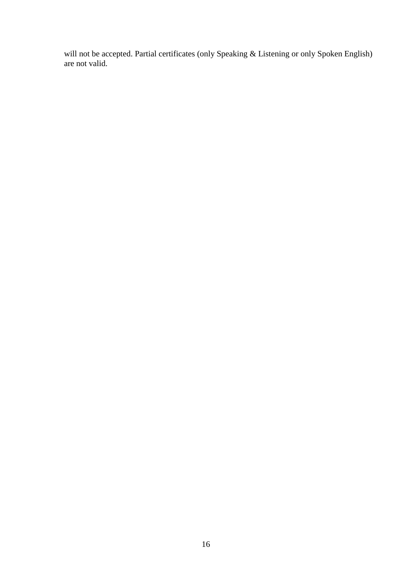will not be accepted. Partial certificates (only Speaking & Listening or only Spoken English) are not valid.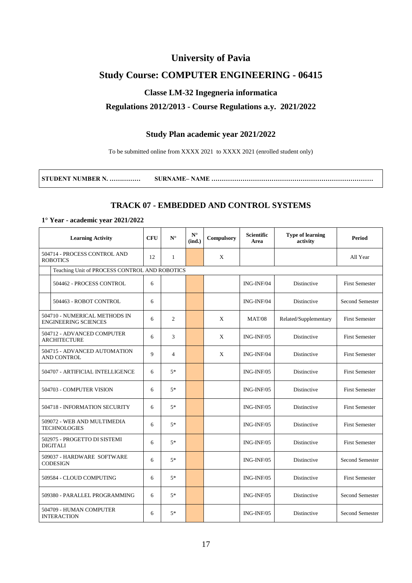## **University of Pavia**

## **Study Course: COMPUTER ENGINEERING - 06415**

#### **Classe LM-32 Ingegneria informatica**

#### **Regulations 2012/2013 - Course Regulations a.y. 2021/2022**

#### **Study Plan academic year 2021/2022**

To be submitted online from XXXX 2021 to XXXX 2021 (enrolled student only)

| STUDENT NUMBER N. | SURNAME – NAME …………………………………………………………………… |
|-------------------|-------------------------------------------|
|-------------------|-------------------------------------------|

#### **TRACK 07 - EMBEDDED AND CONTROL SYSTEMS**

#### **1° Year - academic year 2021/2022**

| <b>Learning Activity</b> |                                                              | <b>CFU</b> | ${\bf N}^\circ$ | $\mathbf{N}^\circ$<br>(ind.) | Compulsory | <b>Scientific</b><br>Area | <b>Type of learning</b><br>activity | <b>Period</b>         |
|--------------------------|--------------------------------------------------------------|------------|-----------------|------------------------------|------------|---------------------------|-------------------------------------|-----------------------|
|                          | 504714 - PROCESS CONTROL AND<br><b>ROBOTICS</b>              | 12         | $\mathbf{1}$    |                              | X          |                           |                                     | All Year              |
|                          | Teaching Unit of PROCESS CONTROL AND ROBOTICS                |            |                 |                              |            |                           |                                     |                       |
|                          | 504462 - PROCESS CONTROL                                     | 6          |                 |                              |            | ING-INF/04                | Distinctive                         | <b>First Semester</b> |
|                          | 504463 - ROBOT CONTROL                                       | 6          |                 |                              |            | ING-INF/04                | Distinctive                         | Second Semester       |
|                          | 504710 - NUMERICAL METHODS IN<br><b>ENGINEERING SCIENCES</b> | 6          | $\overline{c}$  |                              | X          | <b>MAT/08</b>             | Related/Supplementary               | <b>First Semester</b> |
|                          | 504712 - ADVANCED COMPUTER<br><b>ARCHITECTURE</b>            | 6          | 3               |                              | X          | $ING-INF/05$              | Distinctive                         | <b>First Semester</b> |
|                          | 504715 - ADVANCED AUTOMATION<br>AND CONTROL                  | 9          | $\overline{4}$  |                              | X          | ING-INF/04                | Distinctive                         | <b>First Semester</b> |
|                          | 504707 - ARTIFICIAL INTELLIGENCE                             | 6          | $5*$            |                              |            | $ING-INF/05$              | Distinctive                         | <b>First Semester</b> |
|                          | 504703 - COMPUTER VISION                                     | 6          | $5*$            |                              |            | $ING-INF/05$              | Distinctive                         | <b>First Semester</b> |
|                          | 504718 - INFORMATION SECURITY                                | 6          | $5*$            |                              |            | $ING-INF/05$              | Distinctive                         | <b>First Semester</b> |
|                          | 509072 - WEB AND MULTIMEDIA<br><b>TECHNOLOGIES</b>           | 6          | $5*$            |                              |            | $ING-INF/05$              | Distinctive                         | <b>First Semester</b> |
|                          | 502975 - PROGETTO DI SISTEMI<br>DIGITALI                     | 6          | $5*$            |                              |            | $ING-INF/05$              | <b>Distinctive</b>                  | <b>First Semester</b> |
|                          | 509037 - HARDWARE SOFTWARE<br><b>CODESIGN</b>                | 6          | $5*$            |                              |            | $ING-INF/05$              | Distinctive                         | Second Semester       |
|                          | 509584 - CLOUD COMPUTING                                     | 6          | $5*$            |                              |            | ING-INF/05                | Distinctive                         | <b>First Semester</b> |
|                          | 509380 - PARALLEL PROGRAMMING                                | 6          | $5*$            |                              |            | ING-INF/05                | Distinctive                         | Second Semester       |
|                          | 504709 - HUMAN COMPUTER<br><b>INTERACTION</b>                | 6          | $5*$            |                              |            | ING-INF/05                | Distinctive                         | Second Semester       |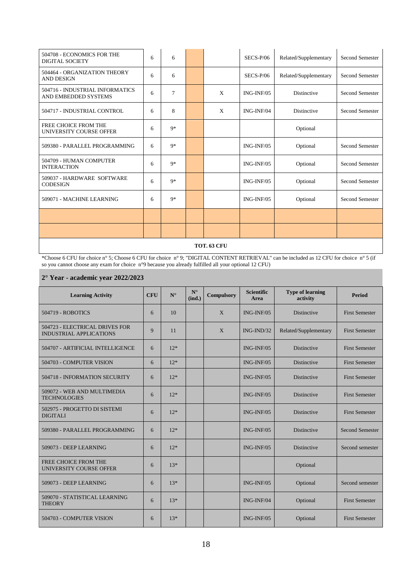| 504708 - ECONOMICS FOR THE<br><b>DIGITAL SOCIETY</b>    | 6 | 6    |   | $SECS-P/06$  | Related/Supplementary | <b>Second Semester</b> |
|---------------------------------------------------------|---|------|---|--------------|-----------------------|------------------------|
| 504464 - ORGANIZATION THEORY<br><b>AND DESIGN</b>       | 6 | 6    |   | $SECS-P/06$  | Related/Supplementary | Second Semester        |
| 504716 - INDUSTRIAL INFORMATICS<br>AND EMBEDDED SYSTEMS | 6 | 7    | X | $ING-INF/05$ | <b>Distinctive</b>    | Second Semester        |
| 504717 - INDUSTRIAL CONTROL                             | 6 | 8    | X | ING-INF/04   | Distinctive           | Second Semester        |
| FREE CHOICE FROM THE<br>UNIVERSITY COURSE OFFER         | 6 | $9*$ |   |              | Optional              |                        |
| 509380 - PARALLEL PROGRAMMING                           | 6 | $9*$ |   | $ING-INF/05$ | Optional              | Second Semester        |
| 504709 - HUMAN COMPUTER<br><b>INTERACTION</b>           | 6 | $9*$ |   | $ING-INF/05$ | Optional              | Second Semester        |
| 509037 - HARDWARE SOFTWARE<br><b>CODESIGN</b>           | 6 | $9*$ |   | $ING-INF/05$ | Optional              | Second Semester        |
| 509071 - MACHINE LEARNING                               | 6 | $9*$ |   | $ING-INF/05$ | Optional              | Second Semester        |
|                                                         |   |      |   |              |                       |                        |
|                                                         |   |      |   |              |                       |                        |

#### **TOT. 63 CFU**

\*Choose 6 CFU for choice n° 5; Choose 6 CFU for choice n° 9; "DIGITAL CONTENT RETRIEVAL" can be included as 12 CFU for choice n° 5 (if so you cannot choose any exam for choice n°9 because you already fulfilled all your optional 12 CFU)

#### **2° Year - academic year 2022/2023**

| <b>Learning Activity</b>                                         | <b>CFU</b> | $N^{\circ}$ | $N^{\circ}$<br>(ind.) | <b>Compulsory</b> | <b>Scientific</b><br>Area | <b>Type of learning</b><br>activity | <b>Period</b>          |
|------------------------------------------------------------------|------------|-------------|-----------------------|-------------------|---------------------------|-------------------------------------|------------------------|
| <b>504719 - ROBOTICS</b>                                         | 6          | 10          |                       | $\mathbf{X}$      | ING-INF/05                | Distinctive                         | <b>First Semester</b>  |
| 504723 - ELECTRICAL DRIVES FOR<br><b>INDUSTRIAL APPLICATIONS</b> | 9          | 11          |                       | X                 | $ING-IND/32$              | Related/Supplementary               | <b>First Semester</b>  |
| 504707 - ARTIFICIAL INTELLIGENCE                                 | 6          | $12*$       |                       |                   | $ING-INF/05$              | Distinctive                         | <b>First Semester</b>  |
| 504703 - COMPUTER VISION                                         | 6          | $12*$       |                       |                   | $ING-INF/05$              | Distinctive                         | <b>First Semester</b>  |
| 504718 - INFORMATION SECURITY                                    | 6          | $12*$       |                       |                   | $ING-INF/05$              | Distinctive                         | <b>First Semester</b>  |
| 509072 - WEB AND MULTIMEDIA<br><b>TECHNOLOGIES</b>               | 6          | $12*$       |                       |                   | $ING-INF/05$              | Distinctive                         | <b>First Semester</b>  |
| 502975 - PROGETTO DI SISTEMI<br><b>DIGITALI</b>                  | 6          | $12*$       |                       |                   | $ING-INF/05$              | Distinctive                         | <b>First Semester</b>  |
| 509380 - PARALLEL PROGRAMMING                                    | 6          | $12*$       |                       |                   | $ING-INF/05$              | Distinctive                         | <b>Second Semester</b> |
| 509073 - DEEP LEARNING                                           | 6          | $12*$       |                       |                   | $ING-INF/05$              | <b>Distinctive</b>                  | Second semester        |
| FREE CHOICE FROM THE<br>UNIVERSITY COURSE OFFER                  | 6          | $13*$       |                       |                   |                           | Optional                            |                        |
| 509073 - DEEP LEARNING                                           | 6          | $13*$       |                       |                   | ING-INF/05                | Optional                            | Second semester        |
| 509070 - STATISTICAL LEARNING<br><b>THEORY</b>                   | 6          | $13*$       |                       |                   | $ING-INF/04$              | Optional                            | <b>First Semester</b>  |
| 504703 - COMPUTER VISION                                         | 6          | $13*$       |                       |                   | $ING-INF/05$              | Optional                            | <b>First Semester</b>  |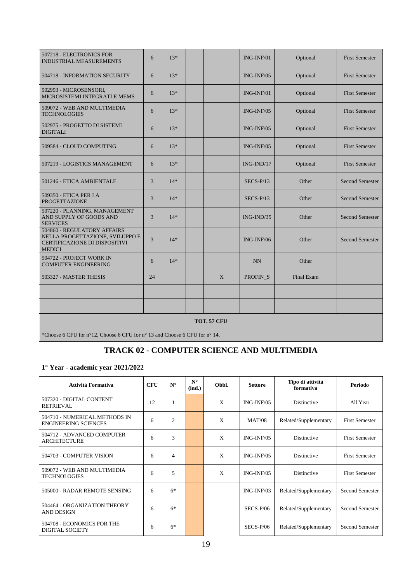| 507218 - ELECTRONICS FOR<br><b>INDUSTRIAL MEASUREMENTS</b>                                                       | 6  | $13*$ |  |   | $ING-INF/01$  | Optional   | <b>First Semester</b>  |  |  |  |
|------------------------------------------------------------------------------------------------------------------|----|-------|--|---|---------------|------------|------------------------|--|--|--|
| 504718 - INFORMATION SECURITY                                                                                    | 6  | $13*$ |  |   | $ING-INF/05$  | Optional   | <b>First Semester</b>  |  |  |  |
| 502993 - MICROSENSORI,<br>MICROSISTEMI INTEGRATI E MEMS                                                          | 6  | $13*$ |  |   | $ING-INF/01$  | Optional   | <b>First Semester</b>  |  |  |  |
| 509072 - WEB AND MULTIMEDIA<br><b>TECHNOLOGIES</b>                                                               | 6  | $13*$ |  |   | $ING-INF/05$  | Optional   | <b>First Semester</b>  |  |  |  |
| 502975 - PROGETTO DI SISTEMI<br><b>DIGITALI</b>                                                                  | 6  | $13*$ |  |   | $ING-INF/05$  | Optional   | <b>First Semester</b>  |  |  |  |
| 509584 - CLOUD COMPUTING                                                                                         | 6  | $13*$ |  |   | $ING-INF/0.5$ | Optional   | <b>First Semester</b>  |  |  |  |
| 507219 - LOGISTICS MANAGEMENT                                                                                    | 6  | $13*$ |  |   | $ING-IND/17$  | Optional   | <b>First Semester</b>  |  |  |  |
| 501246 - ETICA AMBIENTALE                                                                                        | 3  | $14*$ |  |   | $SECS-P/13$   | Other      | <b>Second Semester</b> |  |  |  |
| 509350 - ETICA PER LA<br><b>PROGETTAZIONE</b>                                                                    | 3  | $14*$ |  |   | $SECS-P/13$   | Other      | <b>Second Semester</b> |  |  |  |
| 507220 - PLANNING, MANAGEMENT<br>AND SUPPLY OF GOODS AND<br><b>SERVICES</b>                                      | 3  | $14*$ |  |   | $ING-IND/35$  | Other      | <b>Second Semester</b> |  |  |  |
| 504860 - REGULATORY AFFAIRS<br>NELLA PROGETTAZIONE, SVILUPPO E<br>CERTIFICAZIONE DI DISPOSITIVI<br><b>MEDICI</b> | 3  | $14*$ |  |   | $ING-INF/06$  | Other      | <b>Second Semester</b> |  |  |  |
| 504722 - PROJECT WORK IN<br><b>COMPUTER ENGINEERING</b>                                                          | 6  | $14*$ |  |   | NN            | Other      |                        |  |  |  |
| 503327 - MASTER THESIS                                                                                           | 24 |       |  | X | PROFIN_S      | Final Exam |                        |  |  |  |
|                                                                                                                  |    |       |  |   |               |            |                        |  |  |  |
|                                                                                                                  |    |       |  |   |               |            |                        |  |  |  |
| <b>TOT. 57 CFU</b>                                                                                               |    |       |  |   |               |            |                        |  |  |  |
| *Choose 6 CFU for n°12, Choose 6 CFU for n°13 and Choose 6 CFU for n°14.                                         |    |       |  |   |               |            |                        |  |  |  |

## **TRACK 02 - COMPUTER SCIENCE AND MULTIMEDIA**

#### **1° Year - academic year 2021/2022**

| Attività Formativa                                           | <b>CFU</b> | $N^{\circ}$    | $N^{\circ}$<br>(ind.) | Obbl. | <b>Settore</b> | Tipo di attività<br>formativa | Periodo                |
|--------------------------------------------------------------|------------|----------------|-----------------------|-------|----------------|-------------------------------|------------------------|
| 507320 - DIGITAL CONTENT<br><b>RETRIEVAL</b>                 | 12         |                |                       | X     | $ING-INF/05$   | Distinctive                   | All Year               |
| 504710 - NUMERICAL METHODS IN<br><b>ENGINEERING SCIENCES</b> | 6          | $\overline{2}$ |                       | X     | <b>MAT/08</b>  | Related/Supplementary         | <b>First Semester</b>  |
| 504712 - ADVANCED COMPUTER<br><b>ARCHITECTURE</b>            | 6          | 3              |                       | X     | $ING-INF/05$   | Distinctive                   | <b>First Semester</b>  |
| 504703 - COMPUTER VISION                                     | 6          | 4              |                       | X     | $ING-INF/05$   | Distinctive                   | <b>First Semester</b>  |
| 509072 - WEB AND MULTIMEDIA<br><b>TECHNOLOGIES</b>           | 6          | 5              |                       | X     | $ING-INF/05$   | Distinctive                   | <b>First Semester</b>  |
| 505000 - RADAR REMOTE SENSING                                | 6          | $6*$           |                       |       | $ING-INF/03$   | Related/Supplementary         | <b>Second Semester</b> |
| 504464 - ORGANIZATION THEORY<br><b>AND DESIGN</b>            | 6          | $6*$           |                       |       | $SECS-P/06$    | Related/Supplementary         | <b>Second Semester</b> |
| 504708 - ECONOMICS FOR THE<br>DIGITAL SOCIETY                | 6          | $6*$           |                       |       | $SECS-P/06$    | Related/Supplementary         | <b>Second Semester</b> |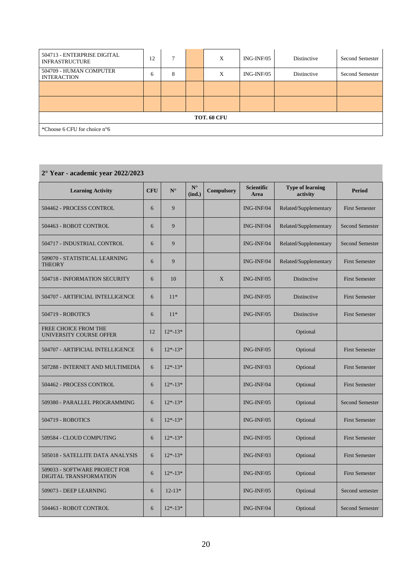| 504713 - ENTERPRISE DIGITAL<br><b>INFRASTRUCTURE</b> | 12 |   |  | X | ING-INF/05 | Distinctive | <b>Second Semester</b> |  |  |
|------------------------------------------------------|----|---|--|---|------------|-------------|------------------------|--|--|
| 504709 - HUMAN COMPUTER<br><b>INTERACTION</b>        | 6  | 8 |  | X | ING-INF/05 | Distinctive | <b>Second Semester</b> |  |  |
|                                                      |    |   |  |   |            |             |                        |  |  |
|                                                      |    |   |  |   |            |             |                        |  |  |
| TOT. 60 CFU                                          |    |   |  |   |            |             |                        |  |  |
| *Choose 6 CFU for choice $n^{\circ}6$                |    |   |  |   |            |             |                        |  |  |

## **2° Year - academic year 2022/2023**

| <b>Learning Activity</b>                                | <b>CFU</b> | $N^{\circ}$ | $N^{\circ}$<br>(ind.) | <b>Compulsory</b> | <b>Scientific</b><br>Area | <b>Type of learning</b><br>activity | <b>Period</b>          |
|---------------------------------------------------------|------------|-------------|-----------------------|-------------------|---------------------------|-------------------------------------|------------------------|
|                                                         |            |             |                       |                   |                           |                                     |                        |
| 504462 - PROCESS CONTROL                                | 6          | 9           |                       |                   | $ING-INF/04$              | Related/Supplementary               | <b>First Semester</b>  |
| 504463 - ROBOT CONTROL                                  | 6          | 9           |                       |                   | ING-INF/04                | Related/Supplementary               | <b>Second Semester</b> |
| 504717 - INDUSTRIAL CONTROL                             | 6          | 9           |                       |                   | $ING-INF/04$              | Related/Supplementary               | <b>Second Semester</b> |
| 509070 - STATISTICAL LEARNING<br><b>THEORY</b>          | 6          | 9           |                       |                   | ING-INF/04                | Related/Supplementary               | <b>First Semester</b>  |
| 504718 - INFORMATION SECURITY                           | 6          | 10          |                       | X                 | ING-INF/05                | Distinctive                         | <b>First Semester</b>  |
| 504707 - ARTIFICIAL INTELLIGENCE                        | 6          | $11*$       |                       |                   | ING-INF/05                | Distinctive                         | <b>First Semester</b>  |
| 504719 - ROBOTICS                                       | 6          | $11*$       |                       |                   | ING-INF/05                | Distinctive                         | <b>First Semester</b>  |
| <b>FREE CHOICE FROM THE</b><br>UNIVERSITY COURSE OFFER  | 12         | $12*-13*$   |                       |                   |                           | Optional                            |                        |
| 504707 - ARTIFICIAL INTELLIGENCE                        | 6          | $12*-13*$   |                       |                   | ING-INF/05                | Optional                            | <b>First Semester</b>  |
| 507288 - INTERNET AND MULTIMEDIA                        | 6          | $12*-13*$   |                       |                   | $ING-INF/03$              | Optional                            | <b>First Semester</b>  |
| 504462 - PROCESS CONTROL                                | 6          | $12*-13*$   |                       |                   | ING-INF/04                | Optional                            | <b>First Semester</b>  |
| 509380 - PARALLEL PROGRAMMING                           | 6          | $12*-13*$   |                       |                   | ING-INF/05                | Optional                            | <b>Second Semester</b> |
| 504719 - ROBOTICS                                       | 6          | $12*-13*$   |                       |                   | ING-INF/05                | Optional                            | <b>First Semester</b>  |
| 509584 - CLOUD COMPUTING                                | 6          | $12*-13*$   |                       |                   | $ING-INF/05$              | Optional                            | <b>First Semester</b>  |
| 505018 - SATELLITE DATA ANALYSIS                        | 6          | $12*-13*$   |                       |                   | ING-INF/03                | Optional                            | <b>First Semester</b>  |
| 509033 - SOFTWARE PROJECT FOR<br>DIGITAL TRANSFORMATION | 6          | $12*-13*$   |                       |                   | ING-INF/05                | Optional                            | <b>First Semester</b>  |
| 509073 - DEEP LEARNING                                  | 6          | $12 - 13*$  |                       |                   | $ING-INF/05$              | Optional                            | Second semester        |
| 504463 - ROBOT CONTROL                                  | 6          | $12*-13*$   |                       |                   | ING-INF/04                | Optional                            | <b>Second Semester</b> |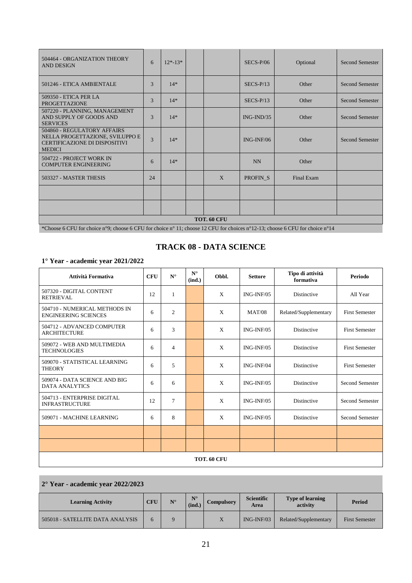| 504464 - ORGANIZATION THEORY<br><b>AND DESIGN</b>                                                                       | 6             | $12*-13*$ |  |              | $SECS-P/06$         | Optional   | <b>Second Semester</b> |  |
|-------------------------------------------------------------------------------------------------------------------------|---------------|-----------|--|--------------|---------------------|------------|------------------------|--|
| 501246 - ETICA AMBIENTALE                                                                                               | 3             | $14*$     |  |              | $SECS-P/13$         | Other      | <b>Second Semester</b> |  |
| 509350 - ETICA PER LA<br><b>PROGETTAZIONE</b>                                                                           | 3             | $14*$     |  |              | $SECS-P/13$         | Other      | <b>Second Semester</b> |  |
| 507220 - PLANNING, MANAGEMENT<br>AND SUPPLY OF GOODS AND<br><b>SERVICES</b>                                             | $\mathcal{R}$ | $14*$     |  |              | $ING-IND/35$        | Other      | <b>Second Semester</b> |  |
| 504860 - REGULATORY AFFAIRS<br>NELLA PROGETTAZIONE, SVILUPPO E<br><b>CERTIFICAZIONE DI DISPOSITIVI</b><br><b>MEDICI</b> | 3             | $14*$     |  |              | $ING-INF/06$        | Other      | <b>Second Semester</b> |  |
| 504722 - PROJECT WORK IN<br><b>COMPUTER ENGINEERING</b>                                                                 | 6             | $14*$     |  |              | <b>NN</b>           | Other      |                        |  |
| 503327 - MASTER THESIS                                                                                                  | 24            |           |  | $\mathbf{X}$ | PROFIN <sub>S</sub> | Final Exam |                        |  |
|                                                                                                                         |               |           |  |              |                     |            |                        |  |
|                                                                                                                         |               |           |  |              |                     |            |                        |  |
| TOT. 60 CFU                                                                                                             |               |           |  |              |                     |            |                        |  |

\*Choose 6 CFU for choice n°9; choose 6 CFU for choice n° 11; choose 12 CFU for choices n°12-13; choose 6 CFU for choice n°14

#### **TRACK 08 - DATA SCIENCE**

#### **1° Year - academic year 2021/2022**

| Attività Formativa                                           | <b>CFU</b> | $N^{\circ}$    | $N^{\circ}$<br>(ind.) | Obbl.                     | <b>Settore</b> | Tipo di attività<br>formativa | Periodo               |  |
|--------------------------------------------------------------|------------|----------------|-----------------------|---------------------------|----------------|-------------------------------|-----------------------|--|
| 507320 - DIGITAL CONTENT<br><b>RETRIEVAL</b>                 | 12         | 1              |                       | X                         | $ING-INF/05$   | Distinctive                   | All Year              |  |
| 504710 - NUMERICAL METHODS IN<br><b>ENGINEERING SCIENCES</b> | 6          | $\overline{2}$ |                       | X                         | <b>MAT/08</b>  | Related/Supplementary         | <b>First Semester</b> |  |
| 504712 - ADVANCED COMPUTER<br><b>ARCHITECTURE</b>            | 6          | 3              |                       | X                         | $ING-INF/05$   | Distinctive                   | <b>First Semester</b> |  |
| 509072 - WEB AND MULTIMEDIA<br><b>TECHNOLOGIES</b>           | 6          | $\overline{4}$ |                       | $\mathbf{x}$              | $ING-INF/05$   | <b>Distinctive</b>            | <b>First Semester</b> |  |
| 509070 - STATISTICAL LEARNING<br><b>THEORY</b>               | 6          | 5              |                       | $\mathbf{x}$              | ING-INF/04     | Distinctive                   | <b>First Semester</b> |  |
| 509074 - DATA SCIENCE AND BIG<br><b>DATA ANALYTICS</b>       | 6          | 6              |                       | $\boldsymbol{\mathrm{X}}$ | $ING-INF/05$   | Distinctive                   | Second Semester       |  |
| 504713 - ENTERPRISE DIGITAL<br><b>INFRASTRUCTURE</b>         | 12         | $\overline{7}$ |                       | X                         | $ING-INF/05$   | Distinctive                   | Second Semester       |  |
| 509071 - MACHINE LEARNING                                    | 6          | 8              |                       | X                         | $ING-INF/05$   | Distinctive                   | Second Semester       |  |
|                                                              |            |                |                       |                           |                |                               |                       |  |
|                                                              |            |                |                       |                           |                |                               |                       |  |
| TOT. 60 CFU                                                  |            |                |                       |                           |                |                               |                       |  |

#### **2° Year - academic year 2022/2023**

| <b>Learning Activity</b>         | CFU | $N^{\circ}$ | $N^{\circ}$<br>(ind.) | Compulsory | <b>Scientific</b><br>Area | <b>Type of learning</b><br>activity | Period                |
|----------------------------------|-----|-------------|-----------------------|------------|---------------------------|-------------------------------------|-----------------------|
| 505018 - SATELLITE DATA ANALYSIS |     |             |                       | X          | $ING-INF/03$              | Related/Supplementary               | <b>First Semester</b> |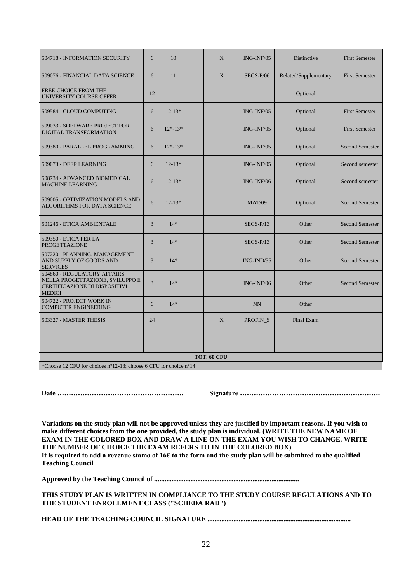| 504718 - INFORMATION SECURITY                                                                                           | 6              | 10         |  | X            | ING-INF/05    | Distinctive           | <b>First Semester</b>  |  |
|-------------------------------------------------------------------------------------------------------------------------|----------------|------------|--|--------------|---------------|-----------------------|------------------------|--|
| 509076 - FINANCIAL DATA SCIENCE                                                                                         | 6              | 11         |  | $\mathbf{X}$ | $SECS-P/06$   | Related/Supplementary | <b>First Semester</b>  |  |
| FREE CHOICE FROM THE<br>UNIVERSITY COURSE OFFER                                                                         | 12             |            |  |              |               | Optional              |                        |  |
| 509584 - CLOUD COMPUTING                                                                                                | 6              | $12 - 13*$ |  |              | ING-INF/05    | Optional              | <b>First Semester</b>  |  |
| 509033 - SOFTWARE PROJECT FOR<br>DIGITAL TRANSFORMATION                                                                 | 6              | $12*-13*$  |  |              | ING-INF/05    | Optional              | <b>First Semester</b>  |  |
| 509380 - PARALLEL PROGRAMMING                                                                                           | 6              | $12*-13*$  |  |              | $ING-INF/05$  | Optional              | <b>Second Semester</b> |  |
| 509073 - DEEP LEARNING                                                                                                  | 6              | $12 - 13*$ |  |              | ING-INF/05    | Optional              | Second semester        |  |
| 508734 - ADVANCED BIOMEDICAL<br><b>MACHINE LEARNING</b>                                                                 | 6              | $12-13*$   |  |              | ING-INF/06    | Optional              | Second semester        |  |
| 509005 - OPTIMIZATION MODELS AND<br>ALGORITHMS FOR DATA SCIENCE                                                         | 6              | $12-13*$   |  |              | <b>MAT/09</b> | Optional              | <b>Second Semester</b> |  |
| 501246 - ETICA AMBIENTALE                                                                                               | 3              | $14*$      |  |              | $SECS-P/13$   | Other                 | <b>Second Semester</b> |  |
| 509350 - ETICA PER LA<br><b>PROGETTAZIONE</b>                                                                           | 3              | $14*$      |  |              | $SECS-P/13$   | Other                 | <b>Second Semester</b> |  |
| 507220 - PLANNING, MANAGEMENT<br>AND SUPPLY OF GOODS AND<br><b>SERVICES</b>                                             | 3              | $14*$      |  |              | $ING-IND/35$  | Other                 | <b>Second Semester</b> |  |
| 504860 - REGULATORY AFFAIRS<br>NELLA PROGETTAZIONE, SVILUPPO E<br><b>CERTIFICAZIONE DI DISPOSITIVI</b><br><b>MEDICI</b> | $\overline{3}$ | $14*$      |  |              | ING-INF/06    | Other                 | <b>Second Semester</b> |  |
| 504722 - PROJECT WORK IN<br><b>COMPUTER ENGINEERING</b>                                                                 | 6              | $14*$      |  |              | <b>NN</b>     | Other                 |                        |  |
| 503327 - MASTER THESIS                                                                                                  | 24             |            |  | X            | PROFIN_S      | Final Exam            |                        |  |
|                                                                                                                         |                |            |  |              |               |                       |                        |  |
|                                                                                                                         |                |            |  |              |               |                       |                        |  |
| TOT. 60 CFU<br>$*$ Channel 10 CEU for the internet 210, 12, the set 6 CEU for the internet 4                            |                |            |  |              |               |                       |                        |  |

\*Choose 12 CFU for choices n°12-13; choose 6 CFU for choice n°14

**Date ………………………………………………. Signature …………………………………………………….**

**Variations on the study plan will not be approved unless they are justified by important reasons. If you wish to make different choices from the one provided, the study plan is individual. (WRITE THE NEW NAME OF EXAM IN THE COLORED BOX AND DRAW A LINE ON THE EXAM YOU WISH TO CHANGE. WRITE THE NUMBER OF CHOICE THE EXAM REFERS TO IN THE COLORED BOX) It is required to add a revenue stamo of 16€ to the form and the study plan will be submitted to the qualified Teaching Council**

**Approved by the Teaching Council of ....................................................................................** 

**THIS STUDY PLAN IS WRITTEN IN COMPLIANCE TO THE STUDY COURSE REGULATIONS AND TO THE STUDENT ENROLLMENT CLASS ("SCHEDA RAD")**

**HEAD OF THE TEACHING COUNCIL SIGNATURE ...................................................................................**